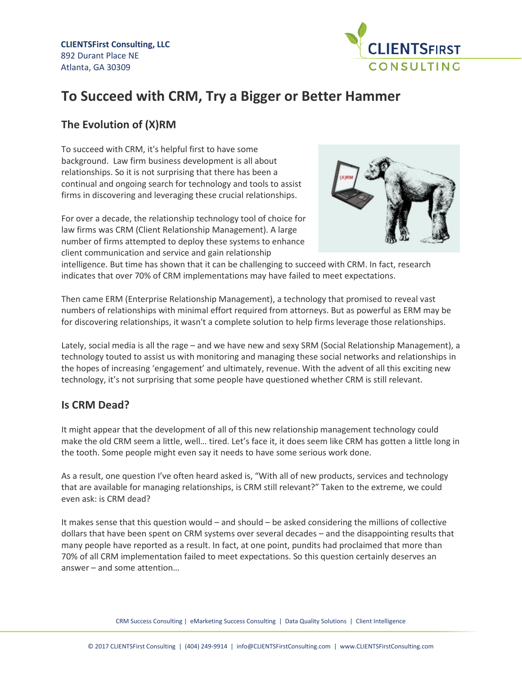

# **To Succeed with CRM, Try a Bigger or Better Hammer**

# **The Evolution of (X)RM**

To succeed with CRM, it's helpful first to have some background. Law firm business development is all about relationships. So it is not surprising that there has been a continual and ongoing search for technology and tools to assist firms in discovering and leveraging these crucial relationships.

For over a decade, the relationship technology tool of choice for law firms was CRM (Client Relationship Management). A large number of firms attempted to deploy these systems to enhance client communication and service and gain relationship



intelligence. But time has shown that it can be challenging to succeed with CRM. In fact, research indicates that over 70% of CRM implementations may have failed to meet expectations.

Then came ERM (Enterprise Relationship Management), a technology that promised to reveal vast numbers of relationships with minimal effort required from attorneys. But as powerful as ERM may be for discovering relationships, it wasn't a complete solution to help firms leverage those relationships.

Lately, social media is all the rage – and we have new and sexy SRM (Social Relationship Management), a technology touted to assist us with monitoring and managing these social networks and relationships in the hopes of increasing 'engagement' and ultimately, revenue. With the advent of all this exciting new technology, it's not surprising that some people have questioned whether CRM is still relevant.

# **Is CRM Dead?**

It might appear that the development of all of this new relationship management technology could make the old CRM seem a little, well… tired. Let's face it, it does seem like CRM has gotten a little long in the tooth. Some people might even say it needs to have some serious work done.

As a result, one question I've often heard asked is, "With all of new products, services and technology that are available for managing relationships, is CRM still relevant?" Taken to the extreme, we could even ask: is CRM dead?

It makes sense that this question would – and should – be asked considering the millions of collective dollars that have been spent on CRM systems over several decades – and the disappointing results that many people have reported as a result. In fact, at one point, pundits had proclaimed that more than 70% of all CRM implementation failed to meet expectations. So this question certainly deserves an answer – and some attention…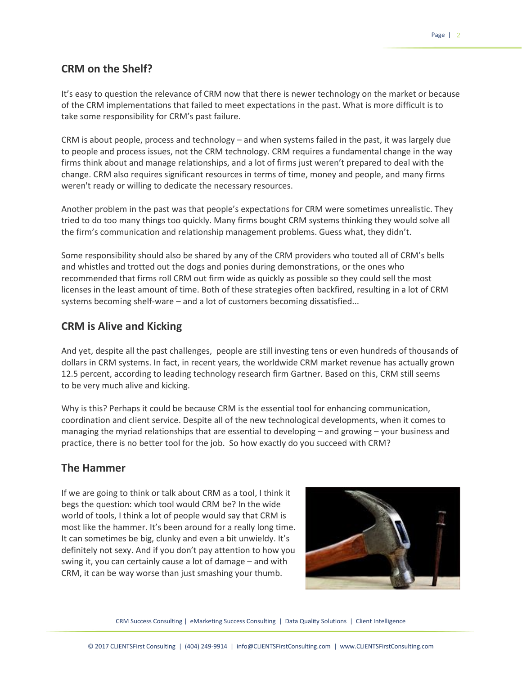## **CRM on the Shelf?**

It's easy to question the relevance of CRM now that there is newer technology on the market or because of the CRM implementations that failed to meet expectations in the past. What is more difficult is to take some responsibility for CRM's past failure.

CRM is about people, process and technology – and when systems failed in the past, it was largely due to people and process issues, not the CRM technology. CRM requires a fundamental change in the way firms think about and manage relationships, and a lot of firms just weren't prepared to deal with the change. CRM also requires significant resources in terms of time, money and people, and many firms weren't ready or willing to dedicate the necessary resources.

Another problem in the past was that people's expectations for CRM were sometimes unrealistic. They tried to do too many things too quickly. Many firms bought CRM systems thinking they would solve all the firm's communication and relationship management problems. Guess what, they didn't.

Some responsibility should also be shared by any of the CRM providers who touted all of CRM's bells and whistles and trotted out the dogs and ponies during demonstrations, or the ones who recommended that firms roll CRM out firm wide as quickly as possible so they could sell the most licenses in the least amount of time. Both of these strategies often backfired, resulting in a lot of CRM systems becoming shelf-ware – and a lot of customers becoming dissatisfied...

#### **CRM is Alive and Kicking**

And yet, despite all the past challenges, people are still investing tens or even hundreds of thousands of dollars in CRM systems. In fact, in recent years, the worldwide CRM market revenue has actually grown 12.5 percent, according to leading technology research firm Gartner. Based on this, CRM still seems to be very much alive and kicking.

Why is this? Perhaps it could be because CRM is the essential tool for enhancing communication, coordination and client service. Despite all of the new technological developments, when it comes to managing the myriad relationships that are essential to developing – and growing – your business and practice, there is no better tool for the job. So how exactly do you succeed with CRM?

#### **The Hammer**

If we are going to think or talk about CRM as a tool, I think it begs the question: which tool would CRM be? In the wide world of tools, I think a lot of people would say that CRM is most like the hammer. It's been around for a really long time. It can sometimes be big, clunky and even a bit unwieldy. It's definitely not sexy. And if you don't pay attention to how you swing it, you can certainly cause a lot of damage – and with CRM, it can be way worse than just smashing your thumb.



CRM Success Consulting | eMarketing Success Consulting | Data Quality Solutions | Client Intelligence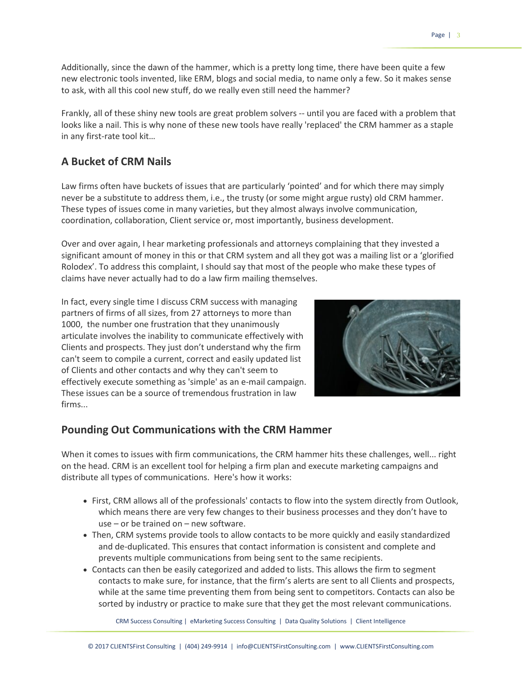Additionally, since the dawn of the hammer, which is a pretty long time, there have been quite a few new electronic tools invented, like ERM, blogs and social media, to name only a few. So it makes sense to ask, with all this cool new stuff, do we really even still need the hammer?

Frankly, all of these shiny new tools are great problem solvers -- until you are faced with a problem that looks like a nail. This is why none of these new tools have really 'replaced' the CRM hammer as a staple in any first-rate tool kit…

#### **A Bucket of CRM Nails**

Law firms often have buckets of issues that are particularly 'pointed' and for which there may simply never be a substitute to address them, i.e., the trusty (or some might argue rusty) old CRM hammer. These types of issues come in many varieties, but they almost always involve communication, coordination, collaboration, Client service or, most importantly, business development.

Over and over again, I hear marketing professionals and attorneys complaining that they invested a significant amount of money in this or that CRM system and all they got was a mailing list or a 'glorified Rolodex'. To address this complaint, I should say that most of the people who make these types of claims have never actually had to do a law firm mailing themselves.

In fact, every single time I discuss CRM success with managing partners of firms of all sizes, from 27 attorneys to more than 1000, the number one frustration that they unanimously articulate involves the inability to communicate effectively with Clients and prospects. They just don't understand why the firm can't seem to compile a current, correct and easily updated list of Clients and other contacts and why they can't seem to effectively execute something as 'simple' as an e-mail campaign. These issues can be a source of tremendous frustration in law firms...



#### **Pounding Out Communications with the CRM Hammer**

When it comes to issues with firm communications, the CRM hammer hits these challenges, well... right on the head. CRM is an excellent tool for helping a firm plan and execute marketing campaigns and distribute all types of communications. Here's how it works:

- First, CRM allows all of the professionals' contacts to flow into the system directly from Outlook, which means there are very few changes to their business processes and they don't have to use – or be trained on – new software.
- Then, CRM systems provide tools to allow contacts to be more quickly and easily standardized and de-duplicated. This ensures that contact information is consistent and complete and prevents multiple communications from being sent to the same recipients.
- Contacts can then be easily categorized and added to lists. This allows the firm to segment contacts to make sure, for instance, that the firm's alerts are sent to all Clients and prospects, while at the same time preventing them from being sent to competitors. Contacts can also be sorted by industry or practice to make sure that they get the most relevant communications.

CRM Success Consulting | eMarketing Success Consulting | Data Quality Solutions | Client Intelligence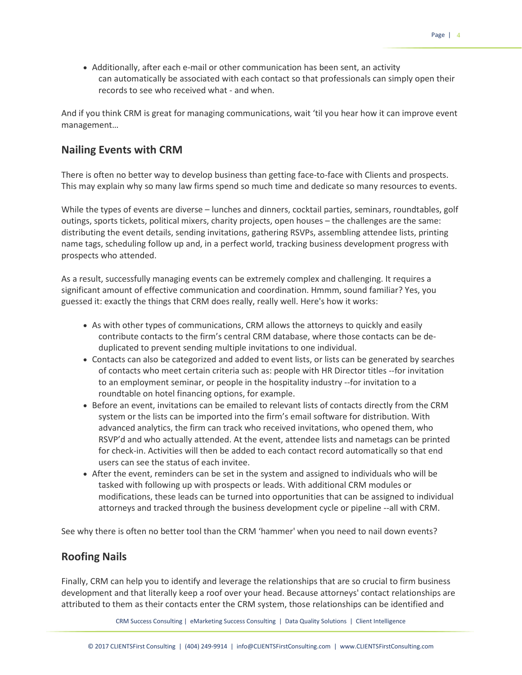• Additionally, after each e-mail or other communication has been sent, an activity can automatically be associated with each contact so that professionals can simply open their records to see who received what - and when.

And if you think CRM is great for managing communications, wait 'til you hear how it can improve event management…

## **Nailing Events with CRM**

There is often no better way to develop business than getting face-to-face with Clients and prospects. This may explain why so many law firms spend so much time and dedicate so many resources to events.

While the types of events are diverse – lunches and dinners, cocktail parties, seminars, roundtables, golf outings, sports tickets, political mixers, charity projects, open houses – the challenges are the same: distributing the event details, sending invitations, gathering RSVPs, assembling attendee lists, printing name tags, scheduling follow up and, in a perfect world, tracking business development progress with prospects who attended.

As a result, successfully managing events can be extremely complex and challenging. It requires a significant amount of effective communication and coordination. Hmmm, sound familiar? Yes, you guessed it: exactly the things that CRM does really, really well. Here's how it works:

- As with other types of communications, CRM allows the attorneys to quickly and easily contribute contacts to the firm's central CRM database, where those contacts can be deduplicated to prevent sending multiple invitations to one individual.
- Contacts can also be categorized and added to event lists, or lists can be generated by searches of contacts who meet certain criteria such as: people with HR Director titles --for invitation to an employment seminar, or people in the hospitality industry --for invitation to a roundtable on hotel financing options, for example.
- Before an event, invitations can be emailed to relevant lists of contacts directly from the CRM system or the lists can be imported into the firm's email software for distribution. With advanced analytics, the firm can track who received invitations, who opened them, who RSVP'd and who actually attended. At the event, attendee lists and nametags can be printed for check-in. Activities will then be added to each contact record automatically so that end users can see the status of each invitee.
- After the event, reminders can be set in the system and assigned to individuals who will be tasked with following up with prospects or leads. With additional CRM modules or modifications, these leads can be turned into opportunities that can be assigned to individual attorneys and tracked through the business development cycle or pipeline --all with CRM.

See why there is often no better tool than the CRM 'hammer' when you need to nail down events?

## **Roofing Nails**

Finally, CRM can help you to identify and leverage the relationships that are so crucial to firm business development and that literally keep a roof over your head. Because attorneys' contact relationships are attributed to them as their contacts enter the CRM system, those relationships can be identified and

CRM Success Consulting | eMarketing Success Consulting | Data Quality Solutions | Client Intelligence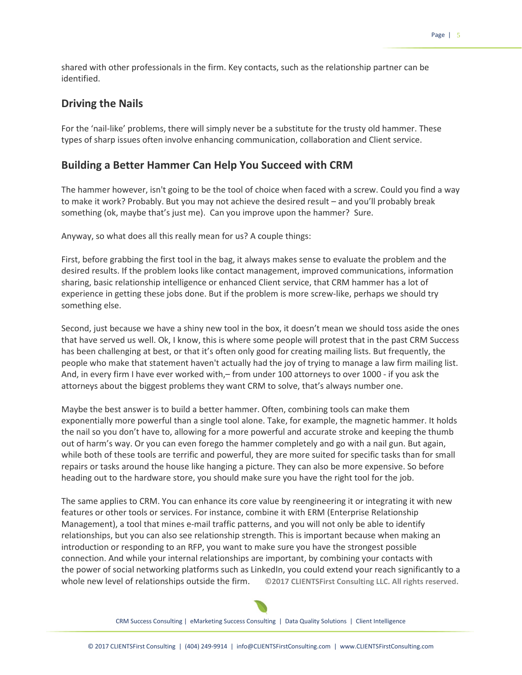shared with other professionals in the firm. Key contacts, such as the relationship partner can be identified.

#### **Driving the Nails**

For the 'nail-like' problems, there will simply never be a substitute for the trusty old hammer. These types of sharp issues often involve enhancing communication, collaboration and Client service.

#### **Building a Better Hammer Can Help You Succeed with CRM**

The hammer however, isn't going to be the tool of choice when faced with a screw. Could you find a way to make it work? Probably. But you may not achieve the desired result – and you'll probably break something (ok, maybe that's just me). Can you improve upon the hammer? Sure.

Anyway, so what does all this really mean for us? A couple things:

First, before grabbing the first tool in the bag, it always makes sense to evaluate the problem and the desired results. If the problem looks like contact management, improved communications, information sharing, basic relationship intelligence or enhanced Client service, that CRM hammer has a lot of experience in getting these jobs done. But if the problem is more screw-like, perhaps we should try something else.

Second, just because we have a shiny new tool in the box, it doesn't mean we should toss aside the ones that have served us well. Ok, I know, this is where some people will protest that in the past CRM Success has been challenging at best, or that it's often only good for creating mailing lists. But frequently, the people who make that statement haven't actually had the joy of trying to manage a law firm mailing list. And, in every firm I have ever worked with,– from under 100 attorneys to over 1000 - if you ask the attorneys about the biggest problems they want CRM to solve, that's always number one.

Maybe the best answer is to build a better hammer. Often, combining tools can make them exponentially more powerful than a single tool alone. Take, for example, the magnetic hammer. It holds the nail so you don't have to, allowing for a more powerful and accurate stroke and keeping the thumb out of harm's way. Or you can even forego the hammer completely and go with a nail gun. But again, while both of these tools are terrific and powerful, they are more suited for specific tasks than for small repairs or tasks around the house like hanging a picture. They can also be more expensive. So before heading out to the hardware store, you should make sure you have the right tool for the job.

The same applies to CRM. You can enhance its core value by reengineering it or integrating it with new features or other tools or services. For instance, combine it with ERM (Enterprise Relationship Management), a tool that mines e-mail traffic patterns, and you will not only be able to identify relationships, but you can also see relationship strength. This is important because when making an introduction or responding to an RFP, you want to make sure you have the strongest possible connection. And while your internal relationships are important, by combining your contacts with the power of social networking platforms such as LinkedIn, you could extend your reach significantly to a whole new level of relationships outside the firm. **©2017 CLIENTSFirst Consulting LLC. All rights reserved.**